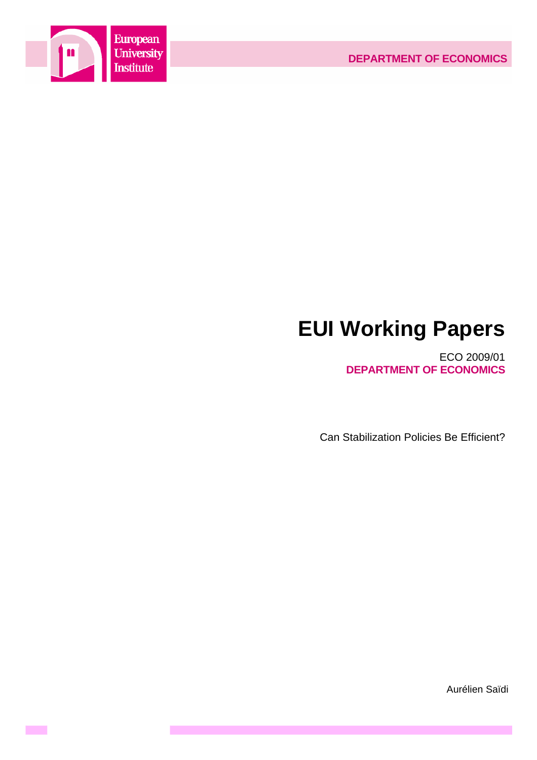

**Contract** 

# **EUI Working Papers**

ECO 2009/01 **DEPARTMENT OF ECONOMICS**

Can Stabilization Policies Be Efficient?

Aurélien Saïdi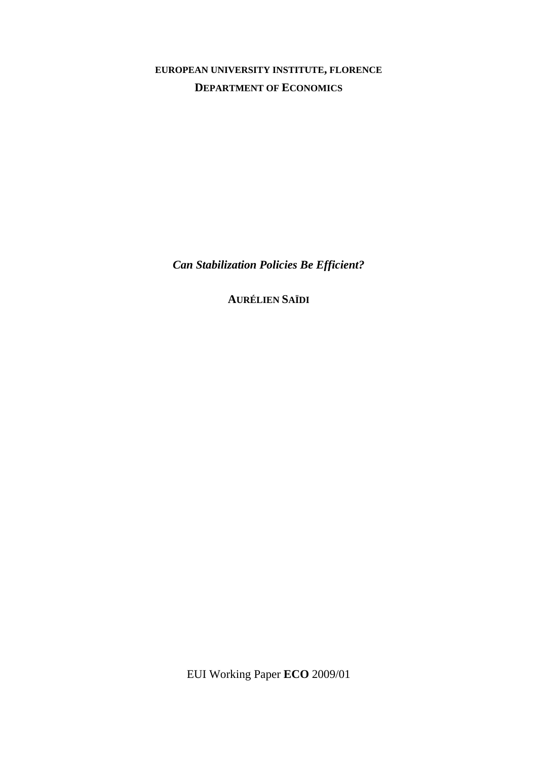**EUROPEAN UNIVERSITY INSTITUTE, FLORENCE DEPARTMENT OF ECONOMICS**

*Can Stabilization Policies Be Efficient?* 

**AURÉLIEN SAÏDI**

EUI Working Paper **ECO** 2009/01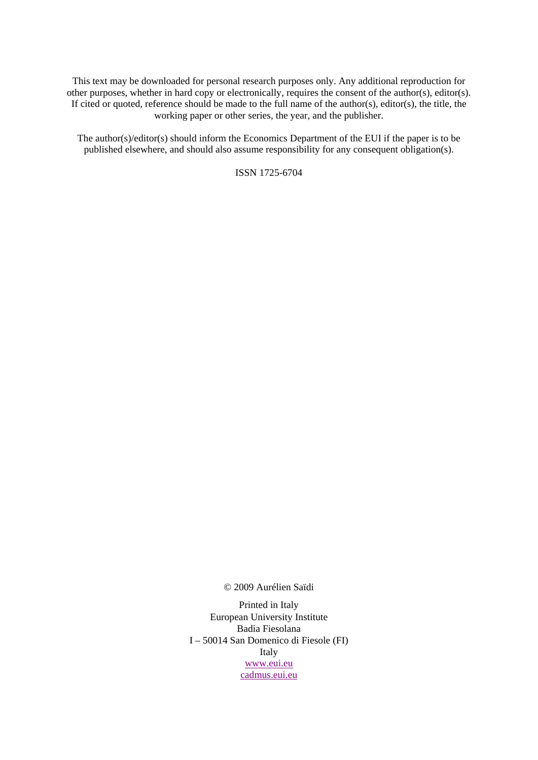This text may be downloaded for personal research purposes only. Any additional reproduction for other purposes, whether in hard copy or electronically, requires the consent of the author(s), editor(s). If cited or quoted, reference should be made to the full name of the author(s), editor(s), the title, the working paper or other series, the year, and the publisher.

The author(s)/editor(s) should inform the Economics Department of the EUI if the paper is to be published elsewhere, and should also assume responsibility for any consequent obligation(s).

ISSN 1725-6704

© 2009 Aurélien Saïdi

Printed in Italy European University Institute Badia Fiesolana I – 50014 San Domenico di Fiesole (FI) Italy www.eui.eu cadmus.eui.eu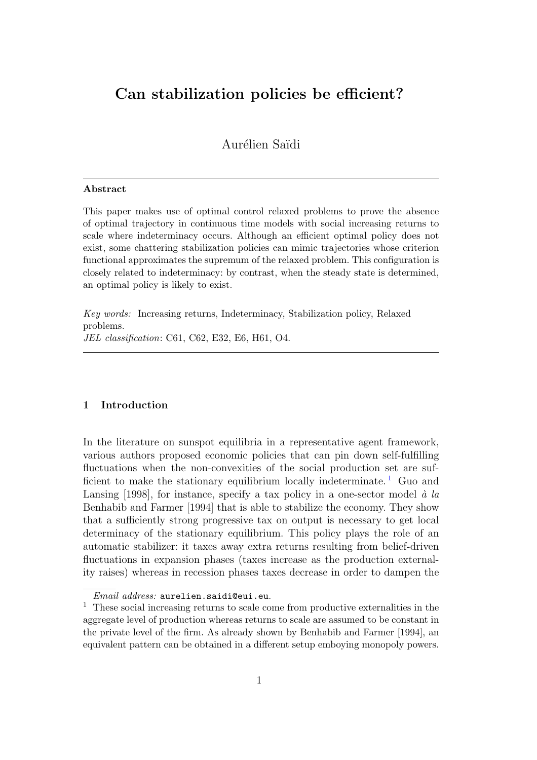# Can stabilization policies be efficient?

Aurélien Saïdi

#### Abstract

This paper makes use of optimal control relaxed problems to prove the absence of optimal trajectory in continuous time models with social increasing returns to scale where indeterminacy occurs. Although an efficient optimal policy does not exist, some chattering stabilization policies can mimic trajectories whose criterion functional approximates the supremum of the relaxed problem. This configuration is closely related to indeterminacy: by contrast, when the steady state is determined, an optimal policy is likely to exist.

Key words: Increasing returns, Indeterminacy, Stabilization policy, Relaxed problems. JEL classification: C61, C62, E32, E6, H61, O4.

## 1 Introduction

In the literature on sunspot equilibria in a representative agent framework, various authors proposed economic policies that can pin down self-fulfilling fluctuations when the non-convexities of the social production set are suf-ficient to make the stationary equilibrium locally indeterminate.<sup>[1](#page-3-0)</sup> Guo and Lansing [1998], for instance, specify a tax policy in a one-sector model  $\dot{a}$  la Benhabib and Farmer [1994] that is able to stabilize the economy. They show that a sufficiently strong progressive tax on output is necessary to get local determinacy of the stationary equilibrium. This policy plays the role of an automatic stabilizer: it taxes away extra returns resulting from belief-driven fluctuations in expansion phases (taxes increase as the production externality raises) whereas in recession phases taxes decrease in order to dampen the

Email address: aurelien.saidi@eui.eu.

<span id="page-3-0"></span> $^{\rm 1}$  These social increasing returns to scale come from productive externalities in the aggregate level of production whereas returns to scale are assumed to be constant in the private level of the firm. As already shown by Benhabib and Farmer [1994], an equivalent pattern can be obtained in a different setup emboying monopoly powers.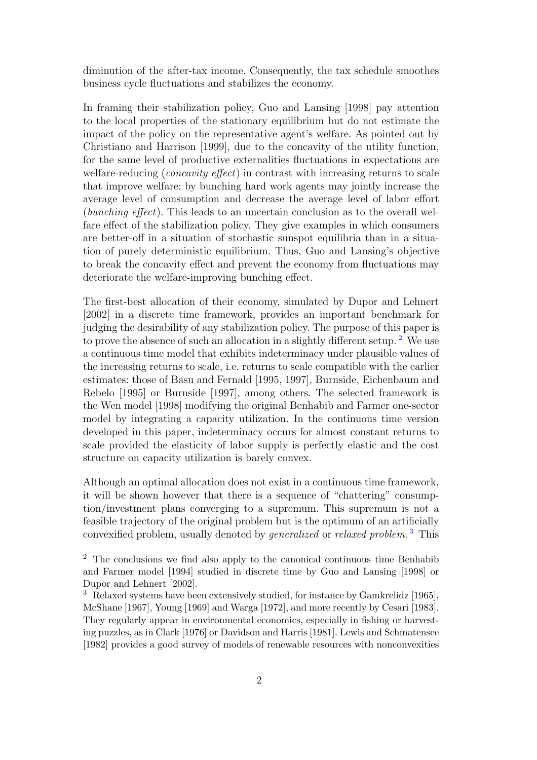diminution of the after-tax income. Consequently, the tax schedule smoothes business cycle fluctuations and stabilizes the economy.

In framing their stabilization policy, Guo and Lansing [1998] pay attention to the local properties of the stationary equilibrium but do not estimate the impact of the policy on the representative agent's welfare. As pointed out by Christiano and Harrison [1999], due to the concavity of the utility function, for the same level of productive externalities fluctuations in expectations are welfare-reducing (*concavity effect*) in contrast with increasing returns to scale that improve welfare: by bunching hard work agents may jointly increase the average level of consumption and decrease the average level of labor effort (bunching effect). This leads to an uncertain conclusion as to the overall welfare effect of the stabilization policy. They give examples in which consumers are better-off in a situation of stochastic sunspot equilibria than in a situation of purely deterministic equilibrium. Thus, Guo and Lansing's objective to break the concavity effect and prevent the economy from fluctuations may deteriorate the welfare-improving bunching effect.

The first-best allocation of their economy, simulated by Dupor and Lehnert [2002] in a discrete time framework, provides an important benchmark for judging the desirability of any stabilization policy. The purpose of this paper is to prove the absence of such an allocation in a slightly different setup. [2](#page-4-0) We use a continuous time model that exhibits indeterminacy under plausible values of the increasing returns to scale, i.e. returns to scale compatible with the earlier estimates: those of Basu and Fernald [1995, 1997], Burnside, Eichenbaum and Rebelo [1995] or Burnside [1997], among others. The selected framework is the Wen model [1998] modifying the original Benhabib and Farmer one-sector model by integrating a capacity utilization. In the continuous time version developed in this paper, indeterminacy occurs for almost constant returns to scale provided the elasticity of labor supply is perfectly elastic and the cost structure on capacity utilization is barely convex.

Although an optimal allocation does not exist in a continuous time framework, it will be shown however that there is a sequence of "chattering" consumption/investment plans converging to a supremum. This supremum is not a feasible trajectory of the original problem but is the optimum of an artificially convexified problem, usually denoted by *generalized* or *relaxed problem*.<sup>[3](#page-4-1)</sup> This

<span id="page-4-0"></span><sup>2</sup> The conclusions we find also apply to the canonical continuous time Benhabib and Farmer model [1994] studied in discrete time by Guo and Lansing [1998] or Dupor and Lehnert [2002].

<span id="page-4-1"></span><sup>3</sup> Relaxed systems have been extensively studied, for instance by Gamkrelidz [1965], McShane [1967], Young [1969] and Warga [1972], and more recently by Cesari [1983]. They regularly appear in environmental economics, especially in fishing or harvesting puzzles, as in Clark [1976] or Davidson and Harris [1981]. Lewis and Schmatensee [1982] provides a good survey of models of renewable resources with nonconvexities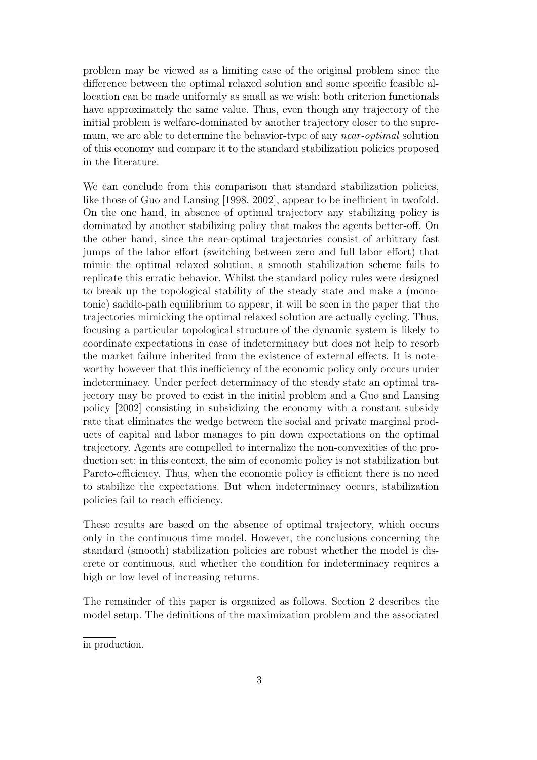problem may be viewed as a limiting case of the original problem since the difference between the optimal relaxed solution and some specific feasible allocation can be made uniformly as small as we wish: both criterion functionals have approximately the same value. Thus, even though any trajectory of the initial problem is welfare-dominated by another trajectory closer to the supremum, we are able to determine the behavior-type of any *near-optimal* solution of this economy and compare it to the standard stabilization policies proposed in the literature.

We can conclude from this comparison that standard stabilization policies, like those of Guo and Lansing [1998, 2002], appear to be inefficient in twofold. On the one hand, in absence of optimal trajectory any stabilizing policy is dominated by another stabilizing policy that makes the agents better-off. On the other hand, since the near-optimal trajectories consist of arbitrary fast jumps of the labor effort (switching between zero and full labor effort) that mimic the optimal relaxed solution, a smooth stabilization scheme fails to replicate this erratic behavior. Whilst the standard policy rules were designed to break up the topological stability of the steady state and make a (monotonic) saddle-path equilibrium to appear, it will be seen in the paper that the trajectories mimicking the optimal relaxed solution are actually cycling. Thus, focusing a particular topological structure of the dynamic system is likely to coordinate expectations in case of indeterminacy but does not help to resorb the market failure inherited from the existence of external effects. It is noteworthy however that this inefficiency of the economic policy only occurs under indeterminacy. Under perfect determinacy of the steady state an optimal trajectory may be proved to exist in the initial problem and a Guo and Lansing policy [2002] consisting in subsidizing the economy with a constant subsidy rate that eliminates the wedge between the social and private marginal products of capital and labor manages to pin down expectations on the optimal trajectory. Agents are compelled to internalize the non-convexities of the production set: in this context, the aim of economic policy is not stabilization but Pareto-efficiency. Thus, when the economic policy is efficient there is no need to stabilize the expectations. But when indeterminacy occurs, stabilization policies fail to reach efficiency.

These results are based on the absence of optimal trajectory, which occurs only in the continuous time model. However, the conclusions concerning the standard (smooth) stabilization policies are robust whether the model is discrete or continuous, and whether the condition for indeterminacy requires a high or low level of increasing returns.

The remainder of this paper is organized as follows. Section 2 describes the model setup. The definitions of the maximization problem and the associated

in production.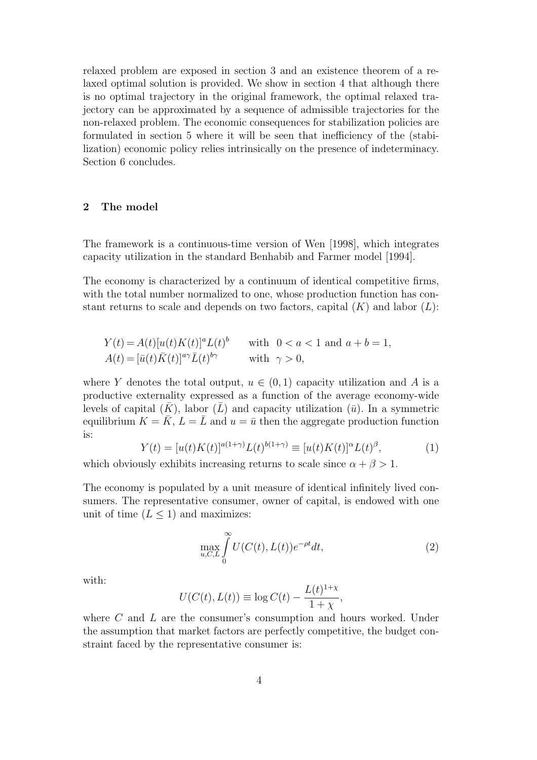relaxed problem are exposed in section 3 and an existence theorem of a relaxed optimal solution is provided. We show in section 4 that although there is no optimal trajectory in the original framework, the optimal relaxed trajectory can be approximated by a sequence of admissible trajectories for the non-relaxed problem. The economic consequences for stabilization policies are formulated in section 5 where it will be seen that inefficiency of the (stabilization) economic policy relies intrinsically on the presence of indeterminacy. Section 6 concludes.

# 2 The model

The framework is a continuous-time version of Wen [1998], which integrates capacity utilization in the standard Benhabib and Farmer model [1994].

The economy is characterized by a continuum of identical competitive firms, with the total number normalized to one, whose production function has constant returns to scale and depends on two factors, capital  $(K)$  and labor  $(L)$ :

$$
Y(t) = A(t)[u(t)K(t)]^a L(t)^b \quad \text{with} \quad 0 < a < 1 \text{ and } a + b = 1,
$$
\n
$$
A(t) = [\bar{u}(t)\bar{K}(t)]^{a\gamma}\bar{L}(t)^{b\gamma} \quad \text{with} \quad \gamma > 0,
$$

where Y denotes the total output,  $u \in (0,1)$  capacity utilization and A is a productive externality expressed as a function of the average economy-wide levels of capital  $(K)$ , labor  $(\overline{L})$  and capacity utilization  $(\overline{u})$ . In a symmetric equilibrium  $K = \overline{K}$ ,  $L = \overline{L}$  and  $u = \overline{u}$  then the aggregate production function is:

$$
Y(t) = [u(t)K(t)]^{a(1+\gamma)}L(t)^{b(1+\gamma)} \equiv [u(t)K(t)]^{\alpha}L(t)^{\beta}, \tag{1}
$$

which obviously exhibits increasing returns to scale since  $\alpha + \beta > 1$ .

The economy is populated by a unit measure of identical infinitely lived consumers. The representative consumer, owner of capital, is endowed with one unit of time  $(L \leq 1)$  and maximizes:

<span id="page-6-0"></span>
$$
\max_{u,C,L} \int_{0}^{\infty} U(C(t),L(t))e^{-\rho t}dt,
$$
\n(2)

with:

$$
U(C(t), L(t)) \equiv \log C(t) - \frac{L(t)^{1+\chi}}{1+\chi},
$$

where C and L are the consumer's consumption and hours worked. Under the assumption that market factors are perfectly competitive, the budget constraint faced by the representative consumer is: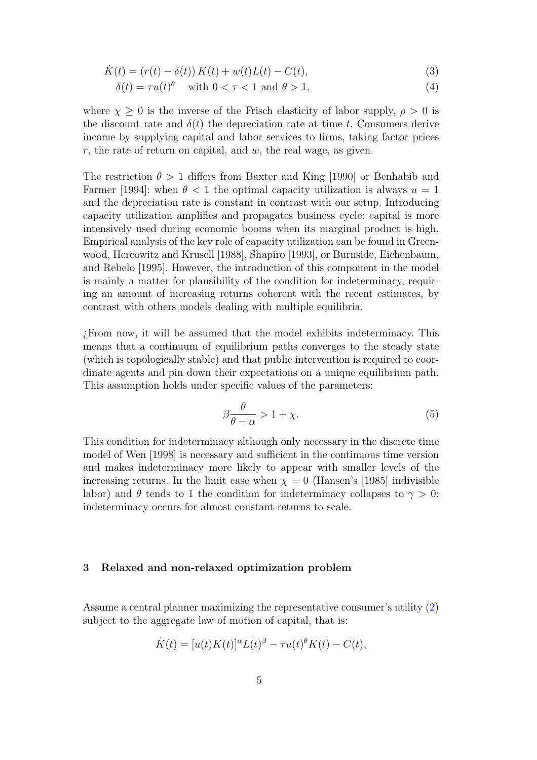$$
\dot{K}(t) = (r(t) - \delta(t)) K(t) + w(t) L(t) - C(t),
$$
\n(3)

$$
\delta(t) = \tau u(t)^{\theta} \quad \text{with } 0 < \tau < 1 \text{ and } \theta > 1,\tag{4}
$$

where  $\chi \geq 0$  is the inverse of the Frisch elasticity of labor supply,  $\rho > 0$  is the discount rate and  $\delta(t)$  the depreciation rate at time t. Consumers derive income by supplying capital and labor services to firms, taking factor prices  $r$ , the rate of return on capital, and  $w$ , the real wage, as given.

The restriction  $\theta > 1$  differs from Baxter and King [1990] or Benhabib and Farmer [1994]: when  $\theta < 1$  the optimal capacity utilization is always  $u = 1$ and the depreciation rate is constant in contrast with our setup. Introducing capacity utilization amplifies and propagates business cycle: capital is more intensively used during economic booms when its marginal product is high. Empirical analysis of the key role of capacity utilization can be found in Greenwood, Hercowitz and Krusell [1988], Shapiro [1993], or Burnside, Eichenbaum, and Rebelo [1995]. However, the introduction of this component in the model is mainly a matter for plausibility of the condition for indeterminacy, requiring an amount of increasing returns coherent with the recent estimates, by contrast with others models dealing with multiple equilibria.

¿From now, it will be assumed that the model exhibits indeterminacy. This means that a continuum of equilibrium paths converges to the steady state (which is topologically stable) and that public intervention is required to coordinate agents and pin down their expectations on a unique equilibrium path. This assumption holds under specific values of the parameters:

<span id="page-7-0"></span>
$$
\beta \frac{\theta}{\theta - \alpha} > 1 + \chi. \tag{5}
$$

This condition for indeterminacy although only necessary in the discrete time model of Wen [1998] is necessary and sufficient in the continuous time version and makes indeterminacy more likely to appear with smaller levels of the increasing returns. In the limit case when  $\chi = 0$  (Hansen's [1985] indivisible labor) and  $\theta$  tends to 1 the condition for indeterminacy collapses to  $\gamma > 0$ : indeterminacy occurs for almost constant returns to scale.

# 3 Relaxed and non-relaxed optimization problem

Assume a central planner maximizing the representative consumer's utility [\(2\)](#page-6-0) subject to the aggregate law of motion of capital, that is:

$$
\dot{K}(t) = [u(t)K(t)]^{\alpha}L(t)^{\beta} - \tau u(t)^{\theta}K(t) - C(t),
$$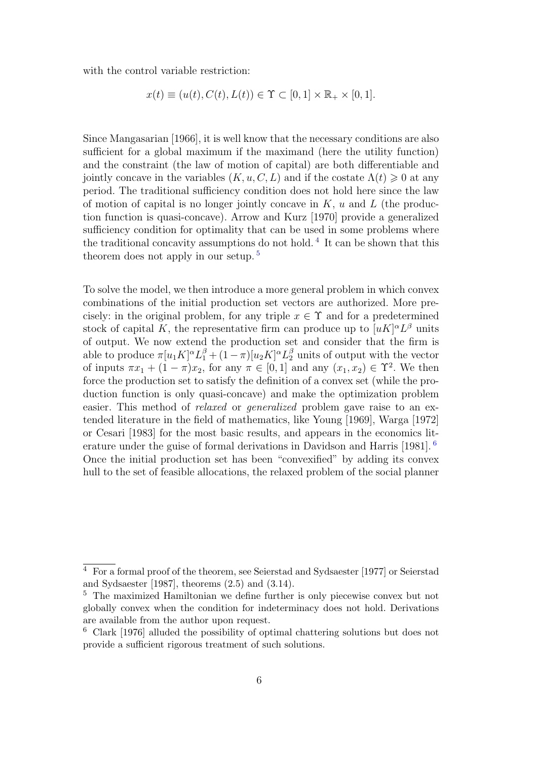with the control variable restriction:

$$
x(t) \equiv (u(t), C(t), L(t)) \in \Upsilon \subset [0, 1] \times \mathbb{R}_+ \times [0, 1].
$$

Since Mangasarian [1966], it is well know that the necessary conditions are also sufficient for a global maximum if the maximand (here the utility function) and the constraint (the law of motion of capital) are both differentiable and jointly concave in the variables  $(K, u, C, L)$  and if the costate  $\Lambda(t) \geq 0$  at any period. The traditional sufficiency condition does not hold here since the law of motion of capital is no longer jointly concave in  $K$ ,  $u$  and  $L$  (the production function is quasi-concave). Arrow and Kurz [1970] provide a generalized sufficiency condition for optimality that can be used in some problems where the traditional concavity assumptions do not hold.<sup>[4](#page-8-0)</sup> It can be shown that this theorem does not apply in our setup. [5](#page-8-1)

To solve the model, we then introduce a more general problem in which convex combinations of the initial production set vectors are authorized. More precisely: in the original problem, for any triple  $x \in \Upsilon$  and for a predetermined stock of capital K, the representative firm can produce up to  $[uK]^{\alpha}L^{\beta}$  units of output. We now extend the production set and consider that the firm is able to produce  $\pi[u_1K]^{\alpha}L_1^{\beta} + (1 - \pi)[u_2K]^{\alpha}L_2^{\beta}$  units of output with the vector of inputs  $\pi x_1 + (1 - \pi)x_2$ , for any  $\pi \in [0, 1]$  and any  $(x_1, x_2) \in \Upsilon^2$ . We then force the production set to satisfy the definition of a convex set (while the production function is only quasi-concave) and make the optimization problem easier. This method of *relaxed* or *generalized* problem gave raise to an extended literature in the field of mathematics, like Young [1969], Warga [1972] or Cesari [1983] for the most basic results, and appears in the economics literature under the guise of formal derivations in Davidson and Harris [1981]. [6](#page-8-2) Once the initial production set has been "convexified" by adding its convex hull to the set of feasible allocations, the relaxed problem of the social planner

<span id="page-8-0"></span><sup>4</sup> For a formal proof of the theorem, see Seierstad and Sydsaester [1977] or Seierstad and Sydsaester [1987], theorems (2.5) and (3.14).

<span id="page-8-1"></span><sup>5</sup> The maximized Hamiltonian we define further is only piecewise convex but not globally convex when the condition for indeterminacy does not hold. Derivations are available from the author upon request.

<span id="page-8-2"></span><sup>6</sup> Clark [1976] alluded the possibility of optimal chattering solutions but does not provide a sufficient rigorous treatment of such solutions.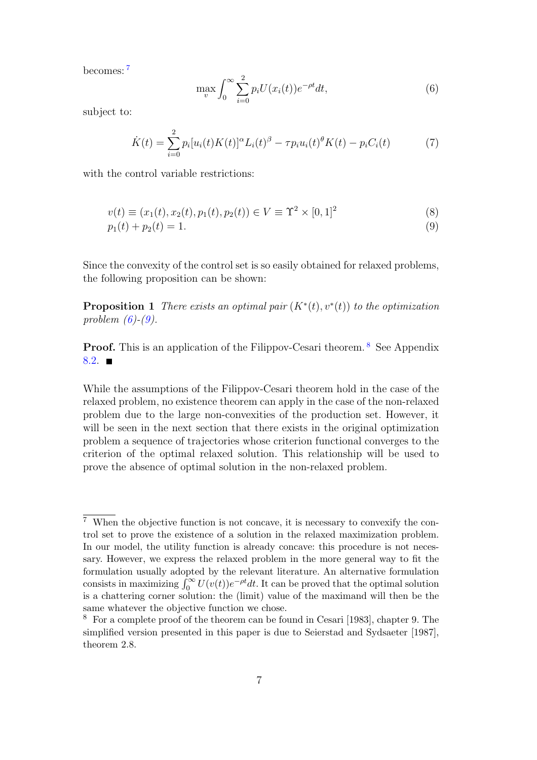becomes: [7](#page-9-0)

<span id="page-9-1"></span>
$$
\max_{v} \int_0^\infty \sum_{i=0}^2 p_i U(x_i(t)) e^{-\rho t} dt,\tag{6}
$$

subject to:

<span id="page-9-5"></span>
$$
\dot{K}(t) = \sum_{i=0}^{2} p_i [u_i(t)K(t)]^{\alpha} L_i(t)^{\beta} - \tau p_i u_i(t)^{\theta} K(t) - p_i C_i(t) \tag{7}
$$

with the control variable restrictions:

<span id="page-9-2"></span>
$$
v(t) \equiv (x_1(t), x_2(t), p_1(t), p_2(t)) \in V \equiv \Upsilon^2 \times [0, 1]^2
$$
\n(8)

<span id="page-9-4"></span>
$$
p_1(t) + p_2(t) = 1.
$$
\n(9)

Since the convexity of the control set is so easily obtained for relaxed problems, the following proposition can be shown:

**Proposition 1** There exists an optimal pair  $(K^*(t), v^*(t))$  to the optimization problem  $(6)-(9)$  $(6)-(9)$ .

**Proof.** This is an application of the Filippov-Cesari theorem. <sup>[8](#page-9-3)</sup> See Appendix  $8.2.$ 

While the assumptions of the Filippov-Cesari theorem hold in the case of the relaxed problem, no existence theorem can apply in the case of the non-relaxed problem due to the large non-convexities of the production set. However, it will be seen in the next section that there exists in the original optimization problem a sequence of trajectories whose criterion functional converges to the criterion of the optimal relaxed solution. This relationship will be used to prove the absence of optimal solution in the non-relaxed problem.

<span id="page-9-0"></span> $\overline{7}$  When the objective function is not concave, it is necessary to convexify the control set to prove the existence of a solution in the relaxed maximization problem. In our model, the utility function is already concave: this procedure is not necessary. However, we express the relaxed problem in the more general way to fit the formulation usually adopted by the relevant literature. An alternative formulation consists in maximizing  $\int_0^\infty U(v(t))e^{-\rho t}dt$ . It can be proved that the optimal solution is a chattering corner solution: the (limit) value of the maximand will then be the same whatever the objective function we chose.

<span id="page-9-3"></span><sup>8</sup> For a complete proof of the theorem can be found in Cesari [1983], chapter 9. The simplified version presented in this paper is due to Seierstad and Sydsaeter [1987], theorem 2.8.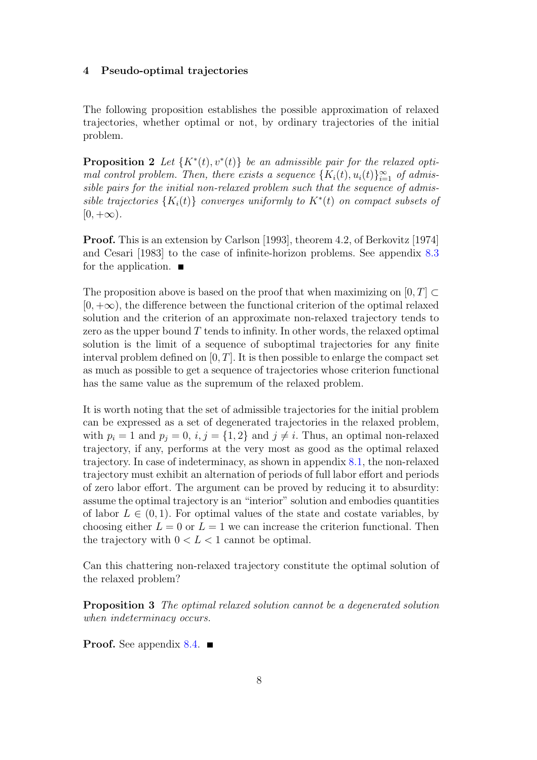# 4 Pseudo-optimal trajectories

<span id="page-10-0"></span>The following proposition establishes the possible approximation of relaxed trajectories, whether optimal or not, by ordinary trajectories of the initial problem.

**Proposition 2** Let  $\{K^*(t), v^*(t)\}$  be an admissible pair for the relaxed optimal control problem. Then, there exists a sequence  $\{K_i(t), u_i(t)\}_{i=1}^{\infty}$  of admissible pairs for the initial non-relaxed problem such that the sequence of admissible trajectories  $\{K_i(t)\}$  converges uniformly to  $K^*(t)$  on compact subsets of  $[0, +\infty).$ 

Proof. This is an extension by Carlson [1993], theorem 4.2, of Berkovitz [1974] and Cesari [1983] to the case of infinite-horizon problems. See appendix [8.3](#page-19-0) for the application.  $\blacksquare$ 

The proposition above is based on the proof that when maximizing on [0, T]  $\subset$  $[0, +\infty)$ , the difference between the functional criterion of the optimal relaxed solution and the criterion of an approximate non-relaxed trajectory tends to zero as the upper bound  $T$  tends to infinity. In other words, the relaxed optimal solution is the limit of a sequence of suboptimal trajectories for any finite interval problem defined on  $[0, T]$ . It is then possible to enlarge the compact set as much as possible to get a sequence of trajectories whose criterion functional has the same value as the supremum of the relaxed problem.

It is worth noting that the set of admissible trajectories for the initial problem can be expressed as a set of degenerated trajectories in the relaxed problem, with  $p_i = 1$  and  $p_j = 0$ ,  $i, j = \{1, 2\}$  and  $j \neq i$ . Thus, an optimal non-relaxed trajectory, if any, performs at the very most as good as the optimal relaxed trajectory. In case of indeterminacy, as shown in appendix [8.1,](#page-17-0) the non-relaxed trajectory must exhibit an alternation of periods of full labor effort and periods of zero labor effort. The argument can be proved by reducing it to absurdity: assume the optimal trajectory is an "interior" solution and embodies quantities of labor  $L \in (0, 1)$ . For optimal values of the state and costate variables, by choosing either  $L = 0$  or  $L = 1$  we can increase the criterion functional. Then the trajectory with  $0 < L < 1$  cannot be optimal.

<span id="page-10-1"></span>Can this chattering non-relaxed trajectory constitute the optimal solution of the relaxed problem?

Proposition 3 The optimal relaxed solution cannot be a degenerated solution when indeterminacy occurs.

**Proof.** See appendix  $8.4$ .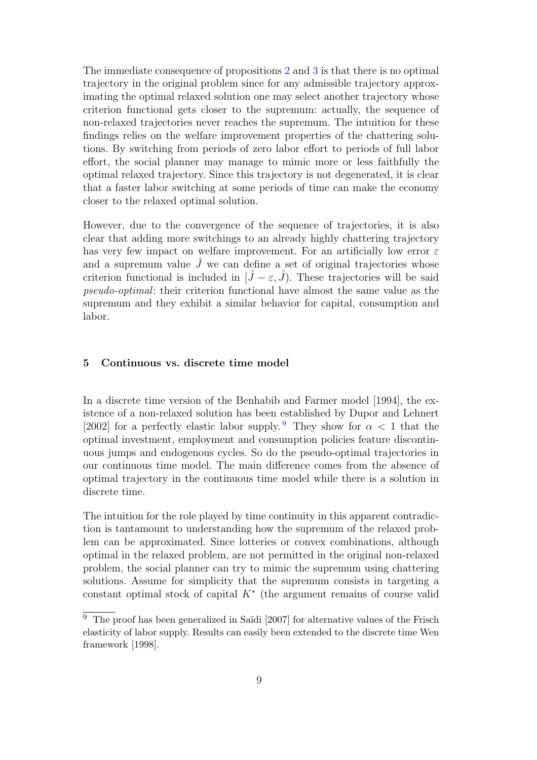The immediate consequence of propositions [2](#page-10-0) and [3](#page-10-1) is that there is no optimal trajectory in the original problem since for any admissible trajectory approximating the optimal relaxed solution one may select another trajectory whose criterion functional gets closer to the supremum: actually, the sequence of non-relaxed trajectories never reaches the supremum. The intuition for these findings relies on the welfare improvement properties of the chattering solutions. By switching from periods of zero labor effort to periods of full labor effort, the social planner may manage to mimic more or less faithfully the optimal relaxed trajectory. Since this trajectory is not degenerated, it is clear that a faster labor switching at some periods of time can make the economy closer to the relaxed optimal solution.

However, due to the convergence of the sequence of trajectories, it is also clear that adding more switchings to an already highly chattering trajectory has very few impact on welfare improvement. For an artificially low error  $\varepsilon$ and a supremum value  $\hat{J}$  we can define a set of original trajectories whose criterion functional is included in  $[\hat{J} - \varepsilon, \hat{J}]$ . These trajectories will be said pseudo-optimal: their criterion functional have almost the same value as the supremum and they exhibit a similar behavior for capital, consumption and labor.

# 5 Continuous vs. discrete time model

In a discrete time version of the Benhabib and Farmer model [1994], the existence of a non-relaxed solution has been established by Dupor and Lehnert [2002] for a perfectly elastic labor supply. <sup>[9](#page-11-0)</sup> They show for  $\alpha < 1$  that the optimal investment, employment and consumption policies feature discontinuous jumps and endogenous cycles. So do the pseudo-optimal trajectories in our continuous time model. The main difference comes from the absence of optimal trajectory in the continuous time model while there is a solution in discrete time.

The intuition for the role played by time continuity in this apparent contradiction is tantamount to understanding how the supremum of the relaxed problem can be approximated. Since lotteries or convex combinations, although optimal in the relaxed problem, are not permitted in the original non-relaxed problem, the social planner can try to mimic the supremum using chattering solutions. Assume for simplicity that the supremum consists in targeting a constant optimal stock of capital  $K^*$  (the argument remains of course valid

<span id="page-11-0"></span> $9$  The proof has been generalized in Saïdi [2007] for alternative values of the Frisch elasticity of labor supply. Results can easily been extended to the discrete time Wen framework [1998].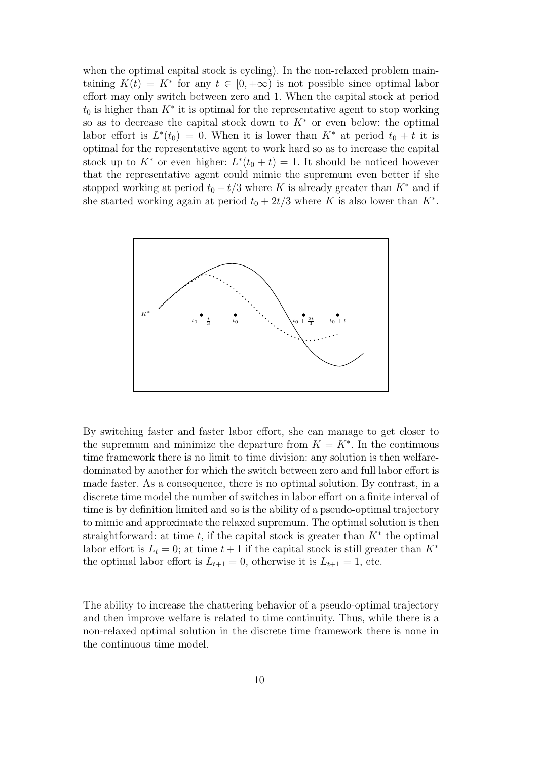when the optimal capital stock is cycling). In the non-relaxed problem maintaining  $K(t) = K^*$  for any  $t \in [0, +\infty)$  is not possible since optimal labor effort may only switch between zero and 1. When the capital stock at period  $t_0$  is higher than  $K^*$  it is optimal for the representative agent to stop working so as to decrease the capital stock down to  $K^*$  or even below: the optimal labor effort is  $L^*(t_0) = 0$ . When it is lower than  $K^*$  at period  $t_0 + t$  it is optimal for the representative agent to work hard so as to increase the capital stock up to  $K^*$  or even higher:  $L^*(t_0 + t) = 1$ . It should be noticed however that the representative agent could mimic the supremum even better if she stopped working at period  $t_0 - t/3$  where K is already greater than  $K^*$  and if she started working again at period  $t_0 + 2t/3$  where K is also lower than  $K^*$ .



By switching faster and faster labor effort, she can manage to get closer to the supremum and minimize the departure from  $K = K^*$ . In the continuous time framework there is no limit to time division: any solution is then welfaredominated by another for which the switch between zero and full labor effort is made faster. As a consequence, there is no optimal solution. By contrast, in a discrete time model the number of switches in labor effort on a finite interval of time is by definition limited and so is the ability of a pseudo-optimal trajectory to mimic and approximate the relaxed supremum. The optimal solution is then straightforward: at time t, if the capital stock is greater than  $K^*$  the optimal labor effort is  $L_t = 0$ ; at time  $t + 1$  if the capital stock is still greater than  $K^*$ the optimal labor effort is  $L_{t+1} = 0$ , otherwise it is  $L_{t+1} = 1$ , etc.

The ability to increase the chattering behavior of a pseudo-optimal trajectory and then improve welfare is related to time continuity. Thus, while there is a non-relaxed optimal solution in the discrete time framework there is none in the continuous time model.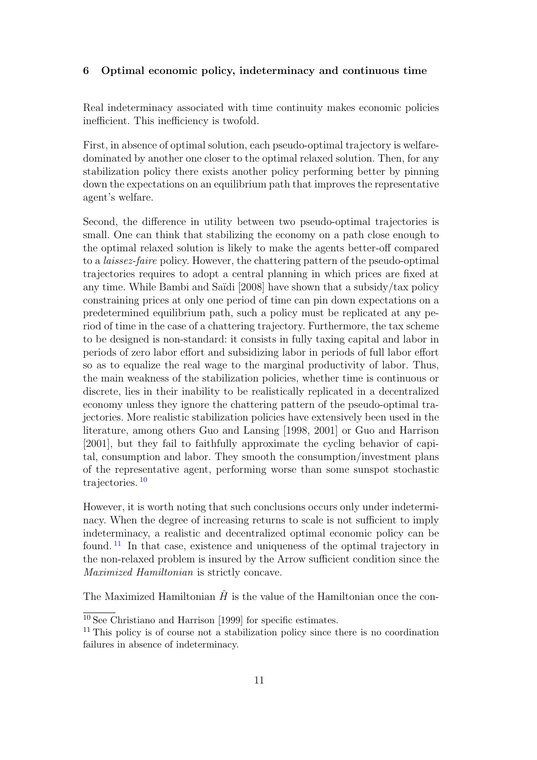# 6 Optimal economic policy, indeterminacy and continuous time

Real indeterminacy associated with time continuity makes economic policies inefficient. This inefficiency is twofold.

First, in absence of optimal solution, each pseudo-optimal trajectory is welfaredominated by another one closer to the optimal relaxed solution. Then, for any stabilization policy there exists another policy performing better by pinning down the expectations on an equilibrium path that improves the representative agent's welfare.

Second, the difference in utility between two pseudo-optimal trajectories is small. One can think that stabilizing the economy on a path close enough to the optimal relaxed solution is likely to make the agents better-off compared to a laissez-faire policy. However, the chattering pattern of the pseudo-optimal trajectories requires to adopt a central planning in which prices are fixed at any time. While Bambi and Saïdi [2008] have shown that a subsidy/tax policy constraining prices at only one period of time can pin down expectations on a predetermined equilibrium path, such a policy must be replicated at any period of time in the case of a chattering trajectory. Furthermore, the tax scheme to be designed is non-standard: it consists in fully taxing capital and labor in periods of zero labor effort and subsidizing labor in periods of full labor effort so as to equalize the real wage to the marginal productivity of labor. Thus, the main weakness of the stabilization policies, whether time is continuous or discrete, lies in their inability to be realistically replicated in a decentralized economy unless they ignore the chattering pattern of the pseudo-optimal trajectories. More realistic stabilization policies have extensively been used in the literature, among others Guo and Lansing [1998, 2001] or Guo and Harrison [2001], but they fail to faithfully approximate the cycling behavior of capital, consumption and labor. They smooth the consumption/investment plans of the representative agent, performing worse than some sunspot stochastic trajectories.<sup>[10](#page-13-0)</sup>

However, it is worth noting that such conclusions occurs only under indeterminacy. When the degree of increasing returns to scale is not sufficient to imply indeterminacy, a realistic and decentralized optimal economic policy can be found. [11](#page-13-1) In that case, existence and uniqueness of the optimal trajectory in the non-relaxed problem is insured by the Arrow sufficient condition since the Maximized Hamiltonian is strictly concave.

The Maximized Hamiltonian  $\hat{H}$  is the value of the Hamiltonian once the con-

 $\overline{^{10}$  See Christiano and Harrison [1999] for specific estimates.

<span id="page-13-1"></span><span id="page-13-0"></span><sup>&</sup>lt;sup>11</sup> This policy is of course not a stabilization policy since there is no coordination failures in absence of indeterminacy.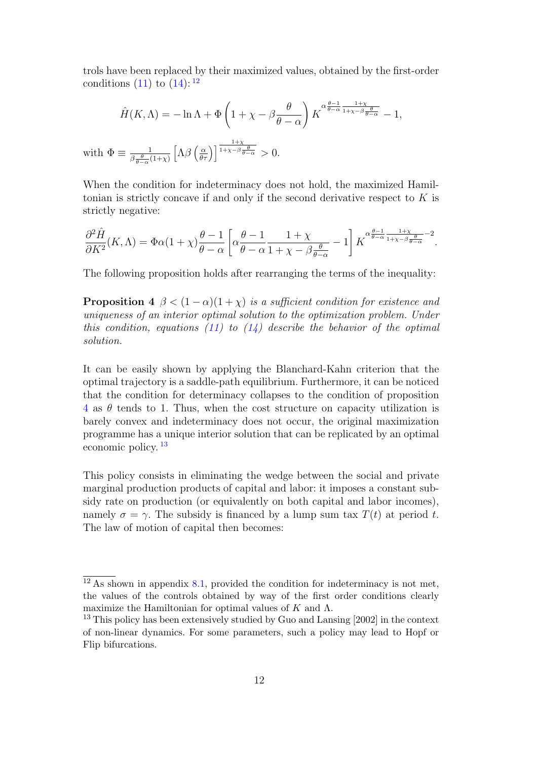trols have been replaced by their maximized values, obtained by the first-order conditions  $(11)$  to  $(14)$ : <sup>[12](#page-14-0)</sup>

$$
\hat{H}(K,\Lambda) = -\ln \Lambda + \Phi\left(1 + \chi - \beta \frac{\theta}{\theta - \alpha}\right) K^{\alpha \frac{\theta - 1}{\theta - \alpha} \frac{1 + \chi}{1 + \chi - \beta \frac{\theta}{\theta - \alpha}}} - 1,
$$

with  $\Phi \equiv \frac{1}{\beta \theta}$  $\beta \frac{\theta}{\theta - \alpha} (1 + \chi)$  $\left[\Lambda\beta\left(\frac{\alpha}{\theta\tau}\right)\right]^{\frac{1+\chi}{1+\chi-\beta}\frac{\theta}{\theta-\alpha}}>0.$ 

When the condition for indeterminacy does not hold, the maximized Hamiltonian is strictly concave if and only if the second derivative respect to  $K$  is strictly negative:

$$
\frac{\partial^2 \hat{H}}{\partial K^2}(K,\Lambda) = \Phi\alpha(1+\chi)\frac{\theta-1}{\theta-\alpha}\left[\alpha\frac{\theta-1}{\theta-\alpha}\frac{1+\chi}{1+\chi-\beta\frac{\theta}{\theta-\alpha}}-1\right]K^{\alpha\frac{\theta-1}{\theta-\alpha}\frac{1+\chi}{1+\chi-\beta\frac{\theta}{\theta-\alpha}}-2}.
$$

<span id="page-14-1"></span>The following proposition holds after rearranging the terms of the inequality:

**Proposition 4**  $\beta < (1 - \alpha)(1 + \chi)$  is a sufficient condition for existence and uniqueness of an interior optimal solution to the optimization problem. Under this condition, equations [\(11\)](#page-17-1) to  $(14)$  describe the behavior of the optimal solution.

It can be easily shown by applying the Blanchard-Kahn criterion that the optimal trajectory is a saddle-path equilibrium. Furthermore, it can be noticed that the condition for determinacy collapses to the condition of proposition  $4$  as  $\theta$  tends to 1. Thus, when the cost structure on capacity utilization is barely convex and indeterminacy does not occur, the original maximization programme has a unique interior solution that can be replicated by an optimal economic policy. [13](#page-14-2)

This policy consists in eliminating the wedge between the social and private marginal production products of capital and labor: it imposes a constant subsidy rate on production (or equivalently on both capital and labor incomes), namely  $\sigma = \gamma$ . The subsidy is financed by a lump sum tax  $T(t)$  at period t. The law of motion of capital then becomes:

<span id="page-14-0"></span> $\frac{12}{12}$  As shown in appendix [8.1,](#page-17-0) provided the condition for indeterminacy is not met, the values of the controls obtained by way of the first order conditions clearly maximize the Hamiltonian for optimal values of K and  $\Lambda$ .

<span id="page-14-2"></span><sup>&</sup>lt;sup>13</sup> This policy has been extensively studied by Guo and Lansing [2002] in the context of non-linear dynamics. For some parameters, such a policy may lead to Hopf or Flip bifurcations.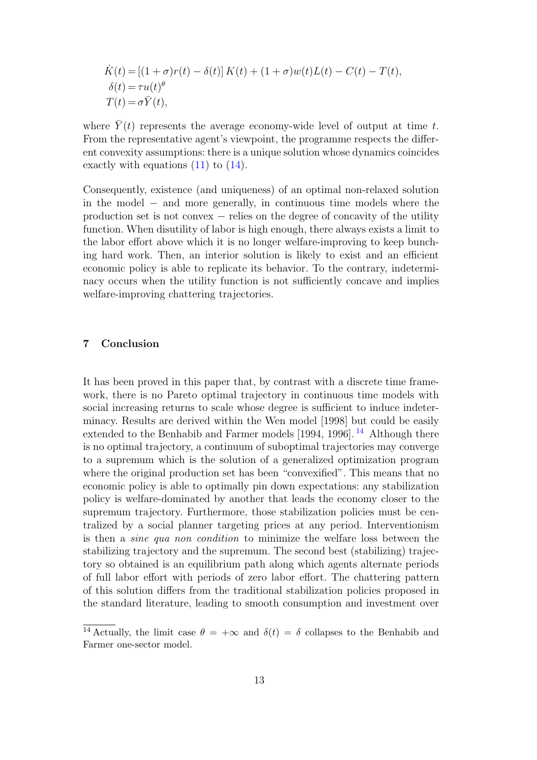$$
\dot{K}(t) = [(1+\sigma)r(t) - \delta(t)] K(t) + (1+\sigma)w(t)L(t) - C(t) - T(t),
$$
  
\n
$$
\delta(t) = \tau u(t)^{\theta}
$$
  
\n
$$
T(t) = \sigma \bar{Y}(t),
$$

where  $\overline{Y}(t)$  represents the average economy-wide level of output at time t. From the representative agent's viewpoint, the programme respects the different convexity assumptions: there is a unique solution whose dynamics coincides exactly with equations  $(11)$  to  $(14)$ .

Consequently, existence (and uniqueness) of an optimal non-relaxed solution in the model − and more generally, in continuous time models where the production set is not convex – relies on the degree of concavity of the utility function. When disutility of labor is high enough, there always exists a limit to the labor effort above which it is no longer welfare-improving to keep bunching hard work. Then, an interior solution is likely to exist and an efficient economic policy is able to replicate its behavior. To the contrary, indeterminacy occurs when the utility function is not sufficiently concave and implies welfare-improving chattering trajectories.

# 7 Conclusion

It has been proved in this paper that, by contrast with a discrete time framework, there is no Pareto optimal trajectory in continuous time models with social increasing returns to scale whose degree is sufficient to induce indeterminacy. Results are derived within the Wen model [1998] but could be easily extended to the Benhabib and Farmer models  $[1994, 1996]$ .<sup>[14](#page-15-0)</sup> Although there is no optimal trajectory, a continuum of suboptimal trajectories may converge to a supremum which is the solution of a generalized optimization program where the original production set has been "convexified". This means that no economic policy is able to optimally pin down expectations: any stabilization policy is welfare-dominated by another that leads the economy closer to the supremum trajectory. Furthermore, those stabilization policies must be centralized by a social planner targeting prices at any period. Interventionism is then a sine qua non condition to minimize the welfare loss between the stabilizing trajectory and the supremum. The second best (stabilizing) trajectory so obtained is an equilibrium path along which agents alternate periods of full labor effort with periods of zero labor effort. The chattering pattern of this solution differs from the traditional stabilization policies proposed in the standard literature, leading to smooth consumption and investment over

<span id="page-15-0"></span><sup>&</sup>lt;sup>14</sup> Actually, the limit case  $\theta = +\infty$  and  $\delta(t) = \delta$  collapses to the Benhabib and Farmer one-sector model.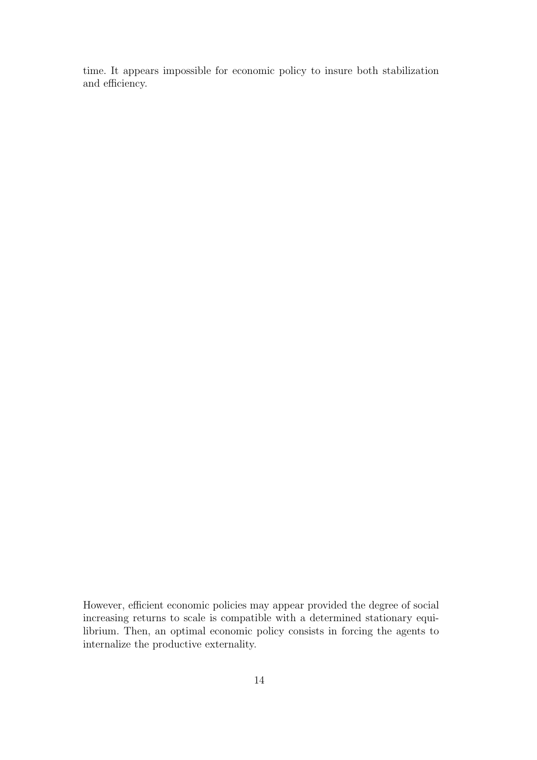time. It appears impossible for economic policy to insure both stabilization and efficiency.

However, efficient economic policies may appear provided the degree of social increasing returns to scale is compatible with a determined stationary equilibrium. Then, an optimal economic policy consists in forcing the agents to internalize the productive externality.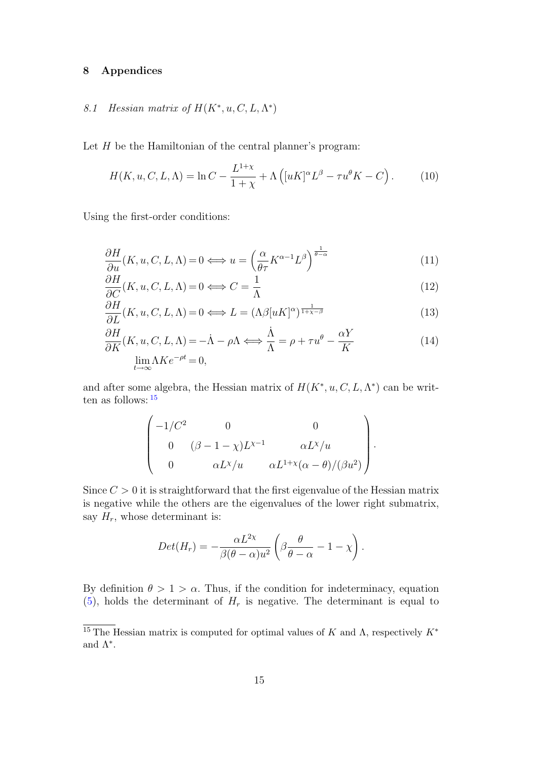# <span id="page-17-0"></span>8 Appendices

# 8.1 Hessian matrix of  $H(K^*, u, C, L, \Lambda^*)$

Let  $H$  be the Hamiltonian of the central planner's program:

<span id="page-17-3"></span>
$$
H(K, u, C, L, \Lambda) = \ln C - \frac{L^{1+\chi}}{1+\chi} + \Lambda \left( [uK]^{\alpha} L^{\beta} - \tau u^{\theta} K - C \right). \tag{10}
$$

Using the first-order conditions:

<span id="page-17-1"></span>
$$
\frac{\partial H}{\partial u}(K, u, C, L, \Lambda) = 0 \Longleftrightarrow u = \left(\frac{\alpha}{\theta \tau} K^{\alpha - 1} L^{\beta}\right)^{\frac{1}{\theta - \alpha}}\tag{11}
$$

$$
\frac{\partial H}{\partial C}(K, u, C, L, \Lambda) = 0 \Longleftrightarrow C = \frac{1}{\Lambda}
$$
\n(12)

$$
\frac{\partial H}{\partial L}(K, u, C, L, \Lambda) = 0 \Longleftrightarrow L = (\Lambda \beta [uK]^{\alpha})^{\frac{1}{1 + \chi - \beta}}
$$
(13)

$$
\frac{\partial H}{\partial K}(K, u, C, L, \Lambda) = -\dot{\Lambda} - \rho \Lambda \Longleftrightarrow \frac{\dot{\Lambda}}{\Lambda} = \rho + \tau u^{\theta} - \frac{\alpha Y}{K}
$$
\n
$$
\lim_{t \to \infty} \Lambda K e^{-\rho t} = 0,
$$
\n(14)

and after some algebra, the Hessian matrix of  $H(K^*, u, C, L, \Lambda^*)$  can be written as follows: [15](#page-17-2)

$$
\begin{pmatrix}\n-1/C^2 & 0 & 0 \\
0 & (\beta - 1 - \chi)L^{\chi - 1} & \alpha L^{\chi}/u \\
0 & \alpha L^{\chi}/u & \alpha L^{1 + \chi}(\alpha - \theta)/(\beta u^2)\n\end{pmatrix}
$$

.

Since  $C > 0$  it is straightforward that the first eigenvalue of the Hessian matrix is negative while the others are the eigenvalues of the lower right submatrix, say  $H_r$ , whose determinant is:

$$
Det(H_r) = -\frac{\alpha L^{2\chi}}{\beta(\theta - \alpha)u^2} \left( \beta \frac{\theta}{\theta - \alpha} - 1 - \chi \right).
$$

By definition  $\theta > 1 > \alpha$ . Thus, if the condition for indeterminacy, equation  $(5)$ , holds the determinant of  $H_r$  is negative. The determinant is equal to

<span id="page-17-2"></span> $\overline{^{15}$  The Hessian matrix is computed for optimal values of K and  $\Lambda$ , respectively  $K^*$ and  $\Lambda^*$ .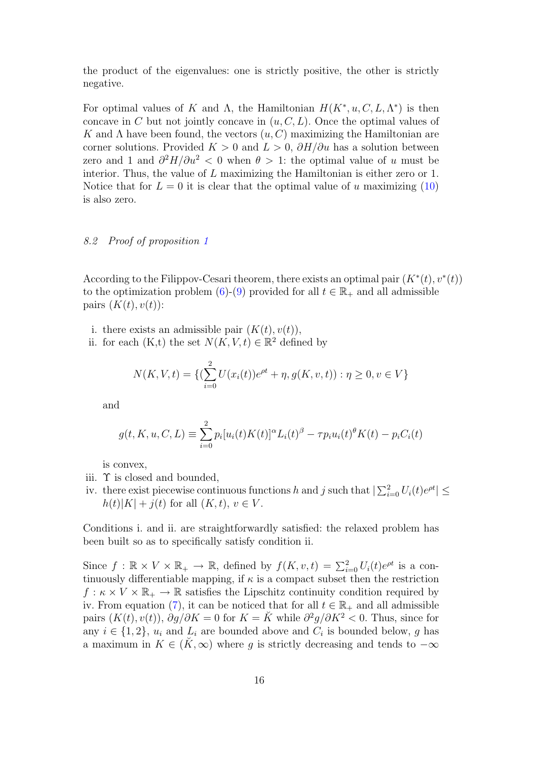the product of the eigenvalues: one is strictly positive, the other is strictly negative.

For optimal values of K and  $\Lambda$ , the Hamiltonian  $H(K^*, u, C, L, \Lambda^*)$  is then concave in C but not jointly concave in  $(u, C, L)$ . Once the optimal values of K and  $\Lambda$  have been found, the vectors  $(u, C)$  maximizing the Hamiltonian are corner solutions. Provided  $K > 0$  and  $L > 0$ ,  $\partial H/\partial u$  has a solution between zero and 1 and  $\partial^2 H/\partial u^2 < 0$  when  $\theta > 1$ : the optimal value of u must be interior. Thus, the value of L maximizing the Hamiltonian is either zero or 1. Notice that for  $L = 0$  it is clear that the optimal value of u maximizing [\(10\)](#page-17-3) is also zero.

# <span id="page-18-0"></span>8.2 Proof of proposition [1](#page-9-4)

According to the Filippov-Cesari theorem, there exists an optimal pair  $(K^*(t), v^*(t))$ to the optimization problem [\(6\)](#page-9-1)-[\(9\)](#page-9-2) provided for all  $t \in \mathbb{R}_+$  and all admissible pairs  $(K(t), v(t))$ :

- i. there exists an admissible pair  $(K(t), v(t)),$
- ii. for each  $(K,t)$  the set  $N(K, V, t) \in \mathbb{R}^2$  defined by

$$
N(K, V, t) = \{ (\sum_{i=0}^{2} U(x_i(t))e^{\rho t} + \eta, g(K, v, t)) : \eta \ge 0, v \in V \}
$$

and

$$
g(t, K, u, C, L) \equiv \sum_{i=0}^{2} p_i [u_i(t)K(t)]^{\alpha} L_i(t)^{\beta} - \tau p_i u_i(t)^{\beta} K(t) - p_i C_i(t)
$$

is convex,

- iii. Υ is closed and bounded,
- iv. there exist piecewise continuous functions h and j such that  $|\sum_{i=0}^{2} U_i(t)e^{\rho t}| \le$  $h(t)|K| + j(t)$  for all  $(K, t), v \in V$ .

Conditions i. and ii. are straightforwardly satisfied: the relaxed problem has been built so as to specifically satisfy condition ii.

Since  $f : \mathbb{R} \times V \times \mathbb{R}_+ \to \mathbb{R}$ , defined by  $f(K, v, t) = \sum_{i=0}^{2} U_i(t) e^{\rho t}$  is a continuously differentiable mapping, if  $\kappa$  is a compact subset then the restriction  $f : \kappa \times V \times \mathbb{R}_{+} \to \mathbb{R}$  satisfies the Lipschitz continuity condition required by iv. From equation [\(7\)](#page-9-5), it can be noticed that for all  $t \in \mathbb{R}_+$  and all admissible pairs  $(K(t), v(t)), \frac{\partial g}{\partial K} = 0$  for  $K = \check{K}$  while  $\frac{\partial^2 g}{\partial K^2} < 0$ . Thus, since for any  $i \in \{1,2\}$ ,  $u_i$  and  $L_i$  are bounded above and  $C_i$  is bounded below, g has a maximum in  $K \in (\tilde{K}, \infty)$  where g is strictly decreasing and tends to  $-\infty$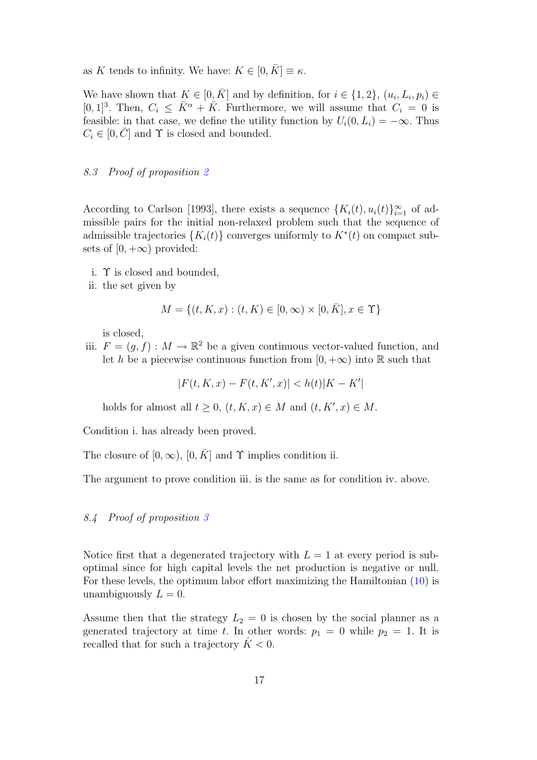as K tends to infinity. We have:  $K \in [0, \overline{K}] \equiv \kappa$ .

We have shown that  $K \in [0, \overline{K}]$  and by definition, for  $i \in \{1, 2\}$ ,  $(u_i, L_i, p_i) \in$ [0, 1]<sup>3</sup>. Then,  $C_i \leq \bar{K}^{\alpha} + \bar{K}$ . Furthermore, we will assume that  $C_i = 0$  is feasible: in that case, we define the utility function by  $U_i(0, L_i) = -\infty$ . Thus  $C_i \in [0, \overline{C}]$  and  $\Upsilon$  is closed and bounded.

# <span id="page-19-0"></span>8.3 Proof of proposition [2](#page-10-0)

According to Carlson [1993], there exists a sequence  $\{K_i(t), u_i(t)\}_{i=1}^{\infty}$  of admissible pairs for the initial non-relaxed problem such that the sequence of admissible trajectories  $\{K_i(t)\}$  converges uniformly to  $K^*(t)$  on compact subsets of  $[0, +\infty)$  provided:

- i. Υ is closed and bounded,
- ii. the set given by

$$
M = \{(t, K, x) : (t, K) \in [0, \infty) \times [0, \bar{K}], x \in \Upsilon\}
$$

is closed,

iii.  $F = (g, f) : M \to \mathbb{R}^2$  be a given continuous vector-valued function, and let h be a piecewise continuous function from  $[0, +\infty)$  into R such that

 $|F(t, K, x) - F(t, K', x)| < h(t)|K - K'|$ 

holds for almost all  $t \geq 0$ ,  $(t, K, x) \in M$  and  $(t, K', x) \in M$ .

Condition i. has already been proved.

The closure of  $[0, \infty)$ ,  $[0, \overline{K}]$  and  $\Upsilon$  implies condition ii.

<span id="page-19-1"></span>The argument to prove condition iii. is the same as for condition iv. above.

# 8.4 Proof of proposition [3](#page-10-1)

Notice first that a degenerated trajectory with  $L = 1$  at every period is suboptimal since for high capital levels the net production is negative or null. For these levels, the optimum labor effort maximizing the Hamiltonian [\(10\)](#page-17-3) is unambiguously  $L = 0$ .

Assume then that the strategy  $L_2 = 0$  is chosen by the social planner as a generated trajectory at time t. In other words:  $p_1 = 0$  while  $p_2 = 1$ . It is recalled that for such a trajectory  $\dot{K} < 0$ .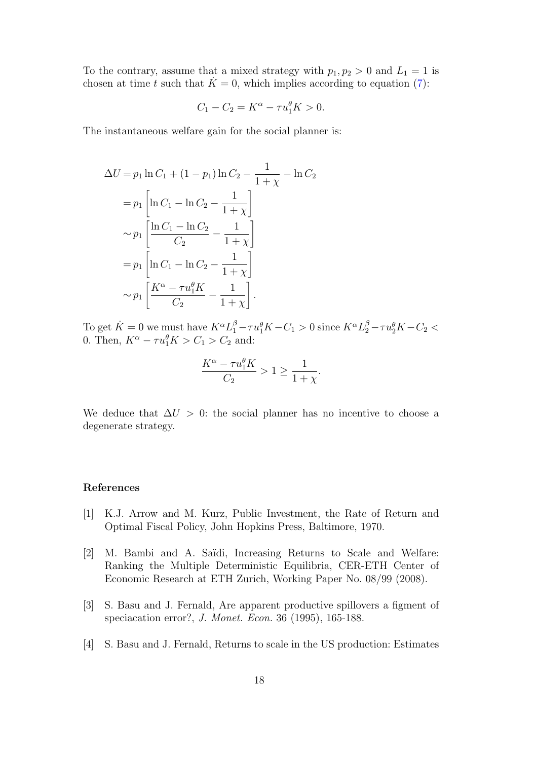To the contrary, assume that a mixed strategy with  $p_1, p_2 > 0$  and  $L_1 = 1$  is chosen at time t such that  $\ddot{K}=0$ , which implies according to equation [\(7\)](#page-9-5):

$$
C_1 - C_2 = K^{\alpha} - \tau u_1^{\theta} K > 0.
$$

The instantaneous welfare gain for the social planner is:

$$
\Delta U = p_1 \ln C_1 + (1 - p_1) \ln C_2 - \frac{1}{1 + \chi} - \ln C_2
$$
  
=  $p_1 \left[ \ln C_1 - \ln C_2 - \frac{1}{1 + \chi} \right]$   
 $\sim p_1 \left[ \frac{\ln C_1 - \ln C_2}{C_2} - \frac{1}{1 + \chi} \right]$   
=  $p_1 \left[ \ln C_1 - \ln C_2 - \frac{1}{1 + \chi} \right]$   
 $\sim p_1 \left[ \frac{K^{\alpha} - \tau u_1^{\theta} K}{C_2} - \frac{1}{1 + \chi} \right].$ 

To get  $K = 0$  we must have  $K^{\alpha}L_1^{\beta} - \tau u_1^{\theta}K - C_1 > 0$  since  $K^{\alpha}L_2^{\beta} - \tau u_2^{\theta}K - C_2 <$ 0. Then,  $K^{\alpha} - \tau u_1^{\theta} K > C_1 > C_2$  and:

$$
\frac{K^{\alpha} - \tau u_1^{\theta} K}{C_2} > 1 \ge \frac{1}{1 + \chi}.
$$

We deduce that  $\Delta U > 0$ : the social planner has no incentive to choose a degenerate strategy.

# References

- [1] K.J. Arrow and M. Kurz, Public Investment, the Rate of Return and Optimal Fiscal Policy, John Hopkins Press, Baltimore, 1970.
- [2] M. Bambi and A. Saïdi, Increasing Returns to Scale and Welfare: Ranking the Multiple Deterministic Equilibria, CER-ETH Center of Economic Research at ETH Zurich, Working Paper No. 08/99 (2008).
- [3] S. Basu and J. Fernald, Are apparent productive spillovers a figment of speciacation error?, J. Monet. Econ. 36 (1995), 165-188.
- [4] S. Basu and J. Fernald, Returns to scale in the US production: Estimates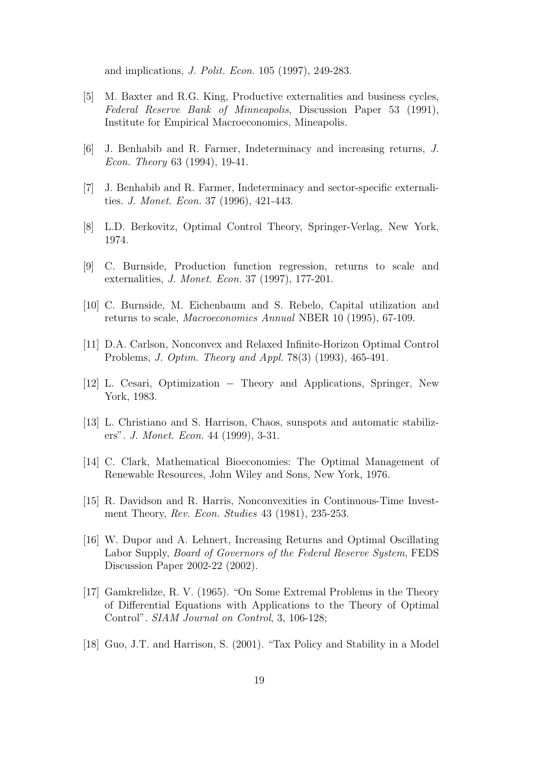and implications, J. Polit. Econ. 105 (1997), 249-283.

- [5] M. Baxter and R.G. King, Productive externalities and business cycles, Federal Reserve Bank of Minneapolis, Discussion Paper 53 (1991), Institute for Empirical Macroeconomics, Mineapolis.
- [6] J. Benhabib and R. Farmer, Indeterminacy and increasing returns, J. Econ. Theory 63 (1994), 19-41.
- [7] J. Benhabib and R. Farmer, Indeterminacy and sector-specific externalities. J. Monet. Econ. 37 (1996), 421-443.
- [8] L.D. Berkovitz, Optimal Control Theory, Springer-Verlag, New York, 1974.
- [9] C. Burnside, Production function regression, returns to scale and externalities, J. Monet. Econ. 37 (1997), 177-201.
- [10] C. Burnside, M. Eichenbaum and S. Rebelo, Capital utilization and returns to scale, Macroeconomics Annual NBER 10 (1995), 67-109.
- [11] D.A. Carlson, Nonconvex and Relaxed Infinite-Horizon Optimal Control Problems, J. Optim. Theory and Appl. 78(3) (1993), 465-491.
- [12] L. Cesari, Optimization Theory and Applications, Springer, New York, 1983.
- [13] L. Christiano and S. Harrison, Chaos, sunspots and automatic stabilizers". J. Monet. Econ. 44 (1999), 3-31.
- [14] C. Clark, Mathematical Bioeconomies: The Optimal Management of Renewable Resources, John Wiley and Sons, New York, 1976.
- [15] R. Davidson and R. Harris, Nonconvexities in Continuous-Time Investment Theory, Rev. Econ. Studies 43 (1981), 235-253.
- [16] W. Dupor and A. Lehnert, Increasing Returns and Optimal Oscillating Labor Supply, Board of Governors of the Federal Reserve System, FEDS Discussion Paper 2002-22 (2002).
- [17] Gamkrelidze, R. V. (1965). "On Some Extremal Problems in the Theory of Differential Equations with Applications to the Theory of Optimal Control". SIAM Journal on Control, 3, 106-128;
- [18] Guo, J.T. and Harrison, S. (2001). "Tax Policy and Stability in a Model